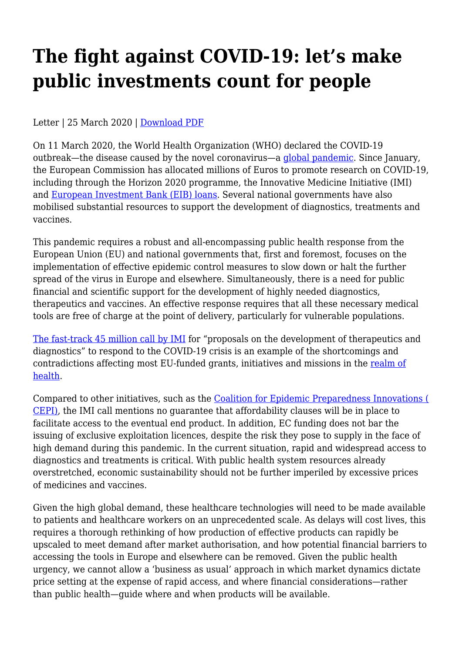## **The fight against COVID-19: let's make public investments count for people**

Letter | 25 March 2020 | [Download PDF](https://haiweb.org/wp-content/uploads/2020/03/COVID-19-RD-public-investments-March.pdf)

On 11 March 2020, the World Health Organization (WHO) declared the COVID-19 outbreak—the disease caused by the novel coronavirus—a [global pandemic.](https://www.who.int/dg/speeches/detail/who-director-general-s-opening-remarks-at-the-media-briefing-on-covid-19---11-march-2020) Since January, the European Commission has allocated millions of Euros to promote research on COVID-19, including through the Horizon 2020 programme, the Innovative Medicine Initiative (IMI) and [European Investment Bank \(EIB\) loans.](https://ec.europa.eu/info/live-work-travel-eu/health/coronavirus-response/medical_en#research-and-innovation) Several national governments have also mobilised substantial resources to support the development of diagnostics, treatments and vaccines.

This pandemic requires a robust and all-encompassing public health response from the European Union (EU) and national governments that, first and foremost, focuses on the implementation of effective epidemic control measures to slow down or halt the further spread of the virus in Europe and elsewhere. Simultaneously, there is a need for public financial and scientific support for the development of highly needed diagnostics, therapeutics and vaccines. An effective response requires that all these necessary medical tools are free of charge at the point of delivery, particularly for vulnerable populations.

[The fast-track 45 million call by IMI](https://www.imi.europa.eu/news-events/press-releases/imi-launches-eur-45m-call-proposals-coronavirus) for "proposals on the development of therapeutics and diagnostics" to respond to the COVID-19 crisis is an example of the shortcomings and contradictions affecting most EU-funded grants, initiatives and missions in the [realm of](https://medicinesalliance.eu/wp-content/uploads/2017/12/Open-letter-in-reaction-to-Council-Conclusions-on-FP9.pdf) [health](https://medicinesalliance.eu/wp-content/uploads/2017/12/Open-letter-in-reaction-to-Council-Conclusions-on-FP9.pdf).

Compared to other initiatives, such as the [Coalition for Epidemic Preparedness Innovations \(](https://cepi.net/wp-content/uploads/2020/01/Call-text_CfP2_019-nCoV_30.01.2020-1.pdf) [CEPI\)](https://cepi.net/wp-content/uploads/2020/01/Call-text_CfP2_019-nCoV_30.01.2020-1.pdf), the IMI call mentions no guarantee that affordability clauses will be in place to facilitate access to the eventual end product. In addition, EC funding does not bar the issuing of exclusive exploitation licences, despite the risk they pose to supply in the face of high demand during this pandemic. In the current situation, rapid and widespread access to diagnostics and treatments is critical. With public health system resources already overstretched, economic sustainability should not be further imperiled by excessive prices of medicines and vaccines.

Given the high global demand, these healthcare technologies will need to be made available to patients and healthcare workers on an unprecedented scale. As delays will cost lives, this requires a thorough rethinking of how production of effective products can rapidly be upscaled to meet demand after market authorisation, and how potential financial barriers to accessing the tools in Europe and elsewhere can be removed. Given the public health urgency, we cannot allow a 'business as usual' approach in which market dynamics dictate price setting at the expense of rapid access, and where financial considerations—rather than public health—guide where and when products will be available.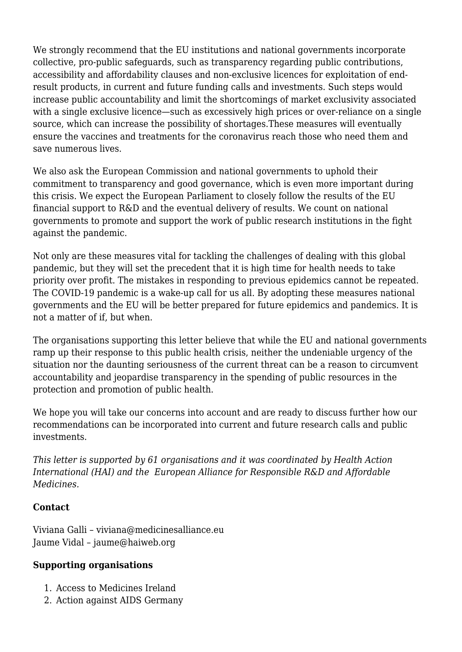We strongly recommend that the EU institutions and national governments incorporate collective, pro-public safeguards, such as transparency regarding public contributions, accessibility and affordability clauses and non-exclusive licences for exploitation of endresult products, in current and future funding calls and investments. Such steps would increase public accountability and limit the shortcomings of market exclusivity associated with a single exclusive licence—such as excessively high prices or over-reliance on a single source, which can increase the possibility of shortages.These measures will eventually ensure the vaccines and treatments for the coronavirus reach those who need them and save numerous lives.

We also ask the European Commission and national governments to uphold their commitment to transparency and good governance, which is even more important during this crisis. We expect the European Parliament to closely follow the results of the EU financial support to R&D and the eventual delivery of results. We count on national governments to promote and support the work of public research institutions in the fight against the pandemic.

Not only are these measures vital for tackling the challenges of dealing with this global pandemic, but they will set the precedent that it is high time for health needs to take priority over profit. The mistakes in responding to previous epidemics cannot be repeated. The COVID-19 pandemic is a wake-up call for us all. By adopting these measures national governments and the EU will be better prepared for future epidemics and pandemics. It is not a matter of if, but when.

The organisations supporting this letter believe that while the EU and national governments ramp up their response to this public health crisis, neither the undeniable urgency of the situation nor the daunting seriousness of the current threat can be a reason to circumvent accountability and jeopardise transparency in the spending of public resources in the protection and promotion of public health.

We hope you will take our concerns into account and are ready to discuss further how our recommendations can be incorporated into current and future research calls and public investments.

*This letter is supported by 61 organisations and it was coordinated by Health Action International (HAI) and the European Alliance for Responsible R&D and Affordable Medicines.*

## **Contact**

Viviana Galli – viviana@medicinesalliance.eu Jaume Vidal – jaume@haiweb.org

## **Supporting organisations**

- 1. Access to Medicines Ireland
- 2. Action against AIDS Germany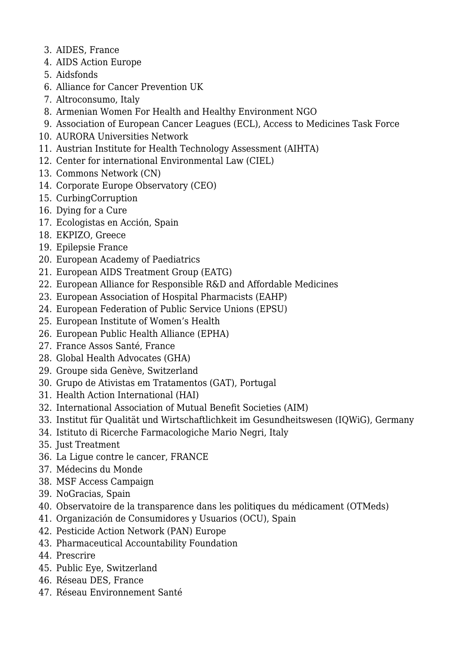- 3. AIDES, France
- 4. AIDS Action Europe
- 5. Aidsfonds
- 6. Alliance for Cancer Prevention UK
- 7. Altroconsumo, Italy
- 8. Armenian Women For Health and Healthy Environment NGO
- 9. Association of European Cancer Leagues (ECL), Access to Medicines Task Force
- 10. AURORA Universities Network
- 11. Austrian Institute for Health Technology Assessment (AIHTA)
- 12. Center for international Environmental Law (CIEL)
- 13. Commons Network (CN)
- 14. Corporate Europe Observatory (CEO)
- 15. CurbingCorruption
- 16. Dying for a Cure
- 17. Ecologistas en Acción, Spain
- 18. EKPIZO, Greece
- 19. Epilepsie France
- 20. European Academy of Paediatrics
- 21. European AIDS Treatment Group (EATG)
- 22. European Alliance for Responsible R&D and Affordable Medicines
- 23. European Association of Hospital Pharmacists (EAHP)
- 24. European Federation of Public Service Unions (EPSU)
- 25. European Institute of Women's Health
- 26. European Public Health Alliance (EPHA)
- 27. France Assos Santé, France
- 28. Global Health Advocates (GHA)
- 29. Groupe sida Genève, Switzerland
- 30. Grupo de Ativistas em Tratamentos (GAT), Portugal
- 31. Health Action International (HAI)
- 32. International Association of Mutual Benefit Societies (AIM)
- 33. Institut für Qualität und Wirtschaftlichkeit im Gesundheitswesen (IQWiG), Germany
- 34. Istituto di Ricerche Farmacologiche Mario Negri, Italy
- 35. Just Treatment
- 36. La Ligue contre le cancer, FRANCE
- 37. Médecins du Monde
- 38. MSF Access Campaign
- 39. NoGracias, Spain
- 40. Observatoire de la transparence dans les politiques du médicament (OTMeds)
- 41. Organización de Consumidores y Usuarios (OCU), Spain
- 42. Pesticide Action Network (PAN) Europe
- 43. Pharmaceutical Accountability Foundation
- 44. Prescrire
- 45. Public Eye, Switzerland
- 46. Réseau DES, France
- 47. Réseau Environnement Santé